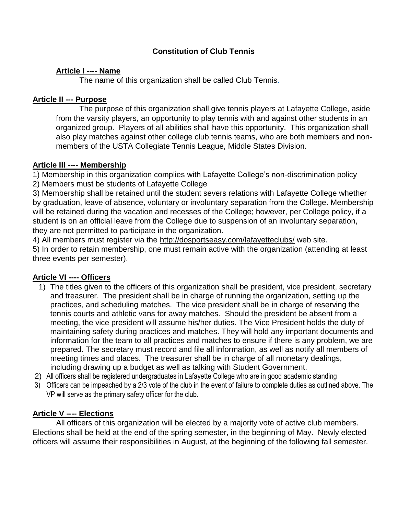# **Constitution of Club Tennis**

# **Article I ---- Name**

The name of this organization shall be called Club Tennis.

# **Article II --- Purpose**

The purpose of this organization shall give tennis players at Lafayette College, aside from the varsity players, an opportunity to play tennis with and against other students in an organized group. Players of all abilities shall have this opportunity. This organization shall also play matches against other college club tennis teams, who are both members and nonmembers of the USTA Collegiate Tennis League, Middle States Division.

## **Article III ---- Membership**

1) Membership in this organization complies with Lafayette College's non-discrimination policy

2) Members must be students of Lafayette College

3) Membership shall be retained until the student severs relations with Lafayette College whether by graduation, leave of absence, voluntary or involuntary separation from the College. Membership will be retained during the vacation and recesses of the College; however, per College policy, if a student is on an official leave from the College due to suspension of an involuntary separation, they are not permitted to participate in the organization.

4) All members must register via the<http://dosportseasy.com/lafayetteclubs/> web site.

5) In order to retain membership, one must remain active with the organization (attending at least three events per semester).

# **Article VI ---- Officers**

- 1) The titles given to the officers of this organization shall be president, vice president, secretary and treasurer. The president shall be in charge of running the organization, setting up the practices, and scheduling matches. The vice president shall be in charge of reserving the tennis courts and athletic vans for away matches. Should the president be absent from a meeting, the vice president will assume his/her duties. The Vice President holds the duty of maintaining safety during practices and matches. They will hold any important documents and information for the team to all practices and matches to ensure if there is any problem, we are prepared. The secretary must record and file all information, as well as notify all members of meeting times and places. The treasurer shall be in charge of all monetary dealings, including drawing up a budget as well as talking with Student Government.
- 2) All officers shall be registered undergraduates in Lafayette College who are in good academic standing
- 3) Officers can be impeached by a 2/3 vote of the club in the event of failure to complete duties as outlined above. The VP will serve as the primary safety officer for the club.

# **Article V ---- Elections**

All officers of this organization will be elected by a majority vote of active club members. Elections shall be held at the end of the spring semester, in the beginning of May. Newly elected officers will assume their responsibilities in August, at the beginning of the following fall semester.